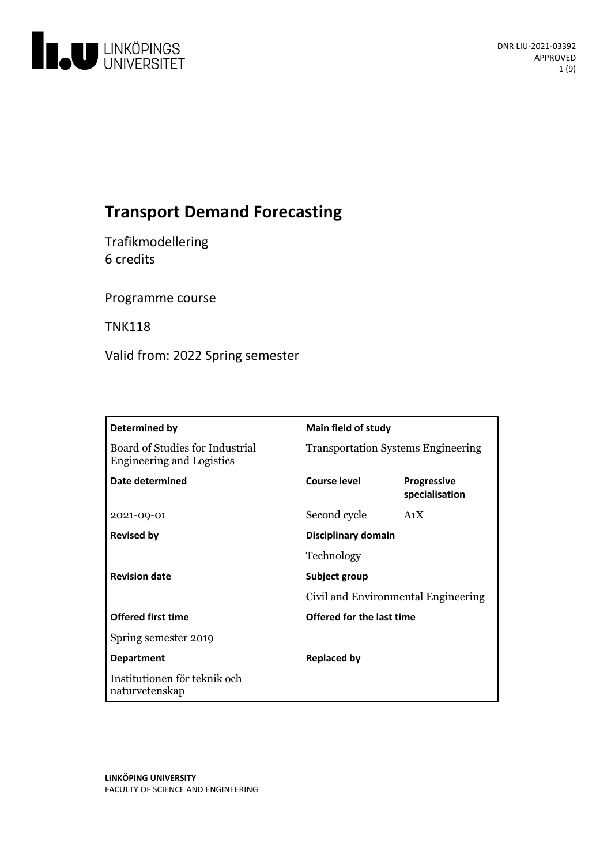

# **Transport Demand Forecasting**

Trafikmodellering 6 credits

Programme course

TNK118

Valid from: 2022 Spring semester

| Determined by                                                       | Main field of study                                  |                                      |
|---------------------------------------------------------------------|------------------------------------------------------|--------------------------------------|
| Board of Studies for Industrial<br><b>Engineering and Logistics</b> | <b>Transportation Systems Engineering</b>            |                                      |
| Date determined                                                     | Course level                                         | <b>Progressive</b><br>specialisation |
| 2021-09-01                                                          | Second cycle                                         | A <sub>1</sub> X                     |
| <b>Revised by</b>                                                   | Disciplinary domain                                  |                                      |
|                                                                     | Technology                                           |                                      |
| <b>Revision date</b>                                                | Subject group<br>Civil and Environmental Engineering |                                      |
|                                                                     |                                                      |                                      |
| <b>Offered first time</b>                                           | Offered for the last time                            |                                      |
| Spring semester 2019                                                |                                                      |                                      |
| <b>Department</b>                                                   | <b>Replaced by</b>                                   |                                      |
| Institutionen för teknik och<br>naturvetenskap                      |                                                      |                                      |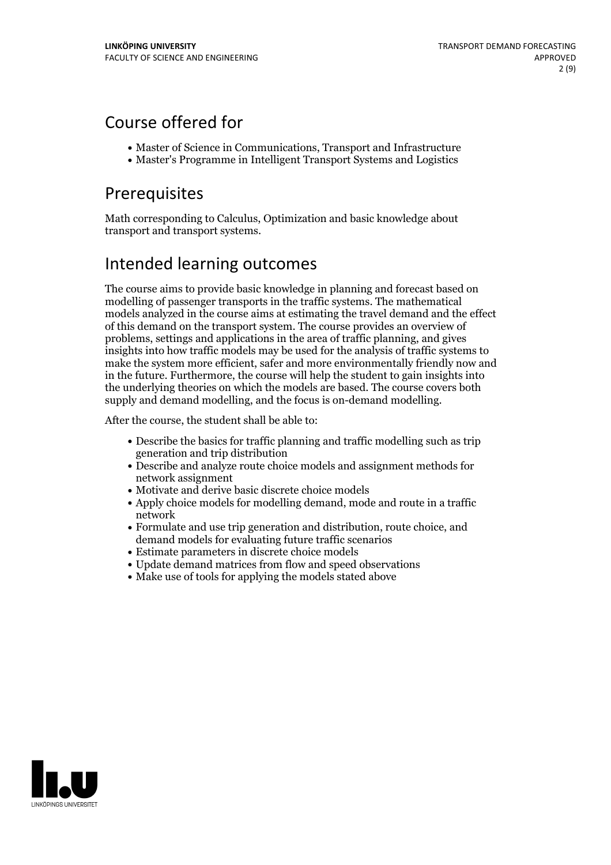# Course offered for

- Master of Science in Communications, Transport and Infrastructure
- Master's Programme in Intelligent Transport Systems and Logistics

## Prerequisites

Math corresponding to Calculus, Optimization and basic knowledge about transport and transport systems.

# Intended learning outcomes

The course aims to provide basic knowledge in planning and forecast based on modelling of passenger transports in the traffic systems. The mathematical models analyzed in the course aims at estimating the travel demand and the effect of this demand on the transport system. The course provides an overview of problems, settings and applications in the area of traffic planning, and gives insights into how traffic models may be used for the analysis of traffic systems to make the system more efficient, safer and more environmentally friendly now and in the future. Furthermore, the course will help the student to gain insights into the underlying theories on which the models are based. The course covers both supply and demand modelling, and the focus is on-demand modelling.

After the course, the student shall be able to:

- Describe the basics for traffic planning and traffic modelling such as trip generation and trip distribution
- Describe and analyze route choice models and assignment methods for network assignment
- Motivate and derive basic discrete choice models
- Apply choice models for modelling demand, mode and route in a traffic network
- Formulate and use trip generation and distribution, route choice, and demand models for evaluating future traffic scenarios
- Estimate parameters in discrete choice models
- Update demand matrices from flow and speed observations
- Make use of tools for applying the models stated above

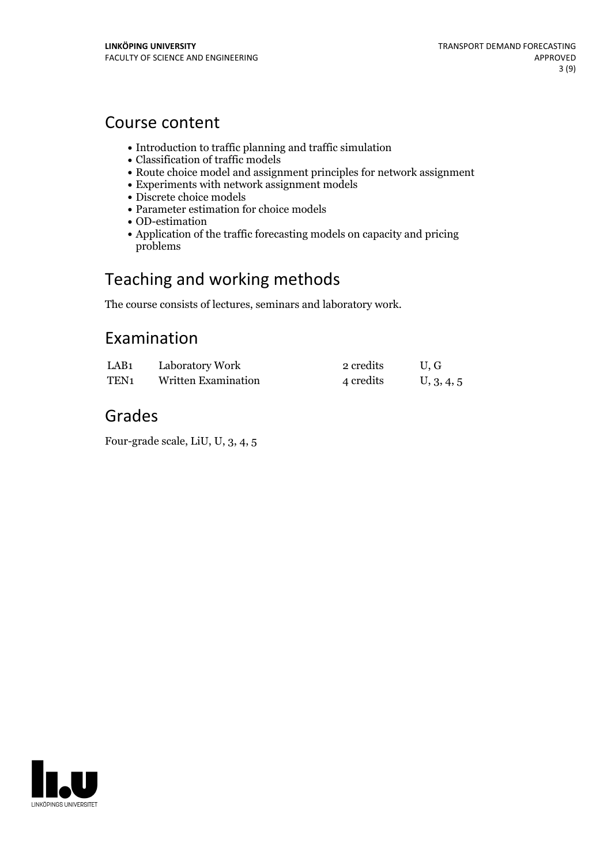## Course content

- Introduction to traffic planning and traffic simulation
- Classification of traffic models
- Route choice model and assignment principles for network assignment
- Experiments with network assignment models
- Discrete choice models
- Parameter estimation for choice models
- OD-estimation
- Application of the traffic forecasting models on capacity and pricing problems

# Teaching and working methods

The course consists of lectures, seminars and laboratory work.

## Examination

| LAB <sub>1</sub> | Laboratory Work     | 2 credits | U.G        |
|------------------|---------------------|-----------|------------|
| TEN <sub>1</sub> | Written Examination | 4 credits | U, 3, 4, 5 |

# Grades

Four-grade scale, LiU, U, 3, 4, 5

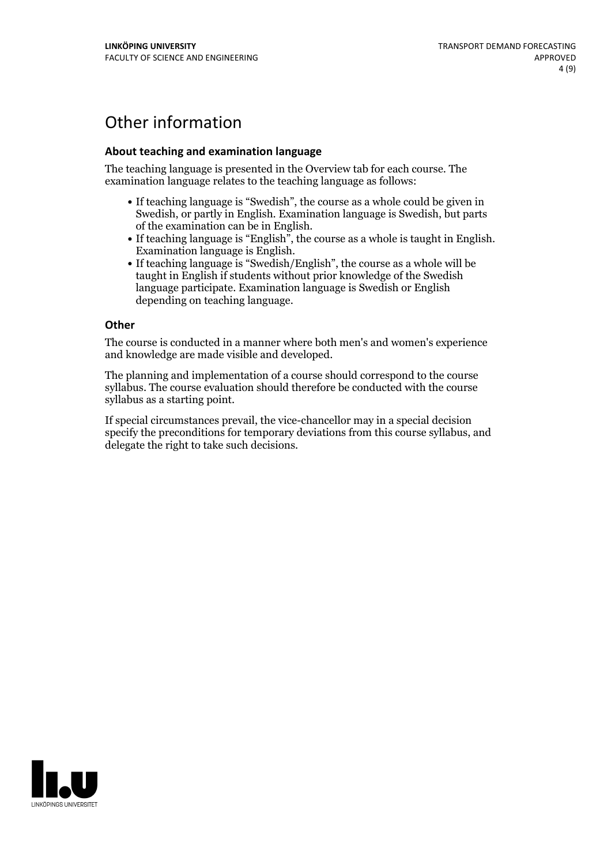# Other information

### **About teaching and examination language**

The teaching language is presented in the Overview tab for each course. The examination language relates to the teaching language as follows:

- If teaching language is "Swedish", the course as a whole could be given in Swedish, or partly in English. Examination language is Swedish, but parts
- of the examination can be in English. If teaching language is "English", the course as <sup>a</sup> whole is taught in English. Examination language is English. If teaching language is "Swedish/English", the course as <sup>a</sup> whole will be
- taught in English if students without prior knowledge of the Swedish language participate. Examination language is Swedish or English depending on teaching language.

#### **Other**

The course is conducted in a manner where both men's and women's experience and knowledge are made visible and developed.

The planning and implementation of a course should correspond to the course syllabus. The course evaluation should therefore be conducted with the course syllabus as a starting point.

If special circumstances prevail, the vice-chancellor may in a special decision specify the preconditions for temporary deviations from this course syllabus, and delegate the right to take such decisions.

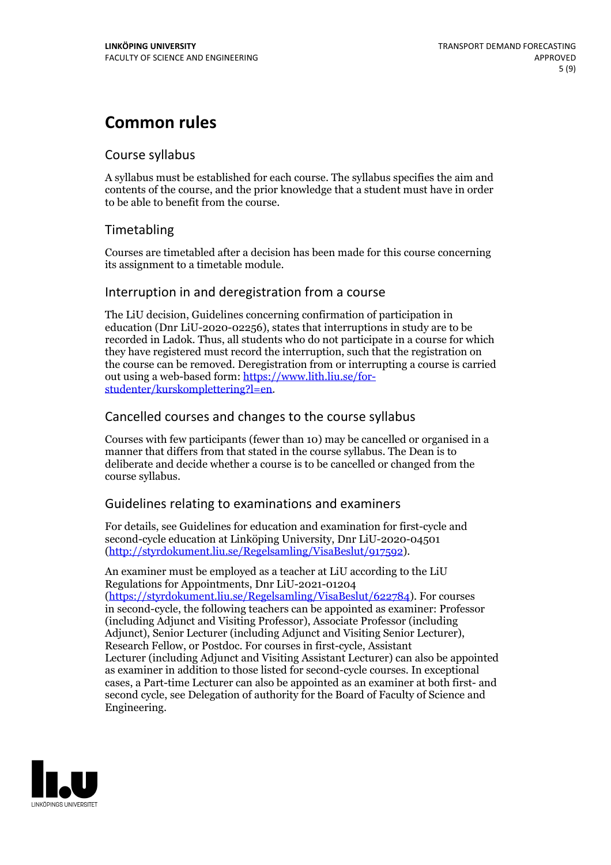# **Common rules**

### Course syllabus

A syllabus must be established for each course. The syllabus specifies the aim and contents of the course, and the prior knowledge that a student must have in order to be able to benefit from the course.

## Timetabling

Courses are timetabled after a decision has been made for this course concerning its assignment to a timetable module.

### Interruption in and deregistration from a course

The LiU decision, Guidelines concerning confirmation of participation in education (Dnr LiU-2020-02256), states that interruptions in study are to be recorded in Ladok. Thus, all students who do not participate in a course for which they have registered must record the interruption, such that the registration on the course can be removed. Deregistration from or interrupting a course is carried out using <sup>a</sup> web-based form: https://www.lith.liu.se/for- [studenter/kurskomplettering?l=en.](https://www.lith.liu.se/for-studenter/kurskomplettering?l=en)

## Cancelled courses and changes to the course syllabus

Courses with few participants (fewer than 10) may be cancelled or organised in a manner that differs from that stated in the course syllabus. The Dean is to deliberate and decide whether a course is to be cancelled or changed from the course syllabus.

## Guidelines relating to examinations and examiners

For details, see Guidelines for education and examination for first-cycle and second-cycle education at Linköping University, Dnr LiU-2020-04501 [\(http://styrdokument.liu.se/Regelsamling/VisaBeslut/917592\)](http://styrdokument.liu.se/Regelsamling/VisaBeslut/917592).

An examiner must be employed as a teacher at LiU according to the LiU Regulations for Appointments, Dnr LiU-2021-01204 [\(https://styrdokument.liu.se/Regelsamling/VisaBeslut/622784](https://styrdokument.liu.se/Regelsamling/VisaBeslut/622784)). For courses in second-cycle, the following teachers can be appointed as examiner: Professor (including Adjunct and Visiting Professor), Associate Professor (including Adjunct), Senior Lecturer (including Adjunct and Visiting Senior Lecturer), Research Fellow, or Postdoc. For courses in first-cycle, Assistant Lecturer (including Adjunct and Visiting Assistant Lecturer) can also be appointed as examiner in addition to those listed for second-cycle courses. In exceptional cases, a Part-time Lecturer can also be appointed as an examiner at both first- and second cycle, see Delegation of authority for the Board of Faculty of Science and Engineering.

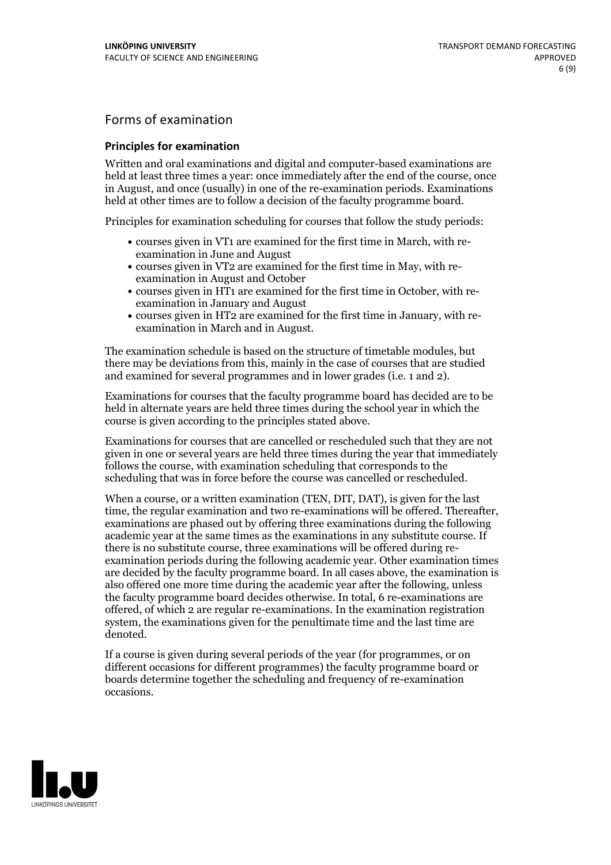## Forms of examination

### **Principles for examination**

Written and oral examinations and digital and computer-based examinations are held at least three times a year: once immediately after the end of the course, once in August, and once (usually) in one of the re-examination periods. Examinations held at other times are to follow a decision of the faculty programme board.

Principles for examination scheduling for courses that follow the study periods:

- courses given in VT1 are examined for the first time in March, with re-examination in June and August
- courses given in VT2 are examined for the first time in May, with re-examination in August and October
- courses given in HT1 are examined for the first time in October, with re-examination in January and August
- courses given in HT2 are examined for the first time in January, with re-examination in March and in August.

The examination schedule is based on the structure of timetable modules, but there may be deviations from this, mainly in the case of courses that are studied and examined for several programmes and in lower grades (i.e. 1 and 2).

Examinations for courses that the faculty programme board has decided are to be held in alternate years are held three times during the school year in which the course is given according to the principles stated above.

Examinations for courses that are cancelled orrescheduled such that they are not given in one or several years are held three times during the year that immediately follows the course, with examination scheduling that corresponds to the scheduling that was in force before the course was cancelled or rescheduled.

When a course, or a written examination (TEN, DIT, DAT), is given for the last time, the regular examination and two re-examinations will be offered. Thereafter, examinations are phased out by offering three examinations during the following academic year at the same times as the examinations in any substitute course. If there is no substitute course, three examinations will be offered during re- examination periods during the following academic year. Other examination times are decided by the faculty programme board. In all cases above, the examination is also offered one more time during the academic year after the following, unless the faculty programme board decides otherwise. In total, 6 re-examinations are offered, of which 2 are regular re-examinations. In the examination registration system, the examinations given for the penultimate time and the last time are denoted.

If a course is given during several periods of the year (for programmes, or on different occasions for different programmes) the faculty programme board or boards determine together the scheduling and frequency of re-examination occasions.

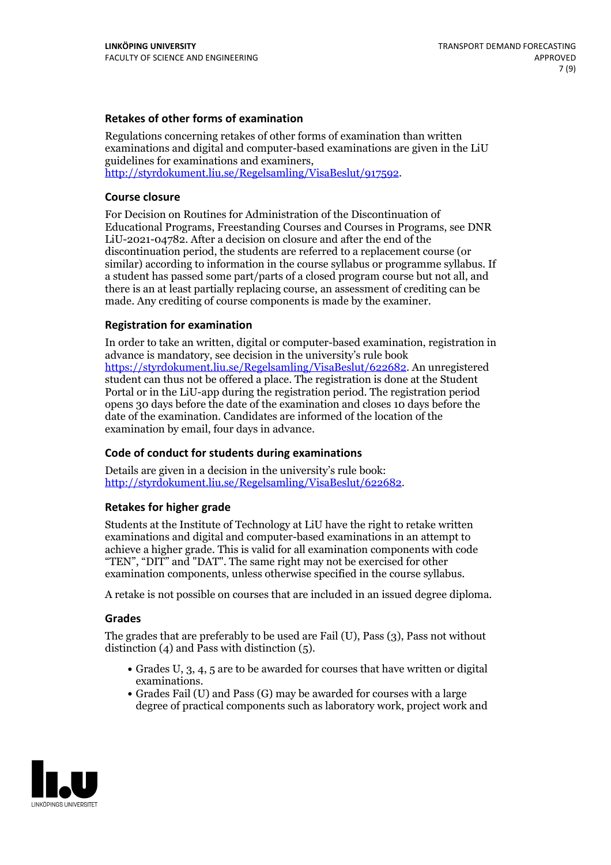### **Retakes of other forms of examination**

Regulations concerning retakes of other forms of examination than written examinations and digital and computer-based examinations are given in the LiU guidelines for examinations and examiners, [http://styrdokument.liu.se/Regelsamling/VisaBeslut/917592.](http://styrdokument.liu.se/Regelsamling/VisaBeslut/917592)

#### **Course closure**

For Decision on Routines for Administration of the Discontinuation of Educational Programs, Freestanding Courses and Courses in Programs, see DNR LiU-2021-04782. After a decision on closure and after the end of the discontinuation period, the students are referred to a replacement course (or similar) according to information in the course syllabus or programme syllabus. If a student has passed some part/parts of a closed program course but not all, and there is an at least partially replacing course, an assessment of crediting can be made. Any crediting of course components is made by the examiner.

#### **Registration for examination**

In order to take an written, digital or computer-based examination, registration in advance is mandatory, see decision in the university's rule book [https://styrdokument.liu.se/Regelsamling/VisaBeslut/622682.](https://styrdokument.liu.se/Regelsamling/VisaBeslut/622682) An unregistered student can thus not be offered a place. The registration is done at the Student Portal or in the LiU-app during the registration period. The registration period opens 30 days before the date of the examination and closes 10 days before the date of the examination. Candidates are informed of the location of the examination by email, four days in advance.

#### **Code of conduct for students during examinations**

Details are given in a decision in the university's rule book: <http://styrdokument.liu.se/Regelsamling/VisaBeslut/622682>.

#### **Retakes for higher grade**

Students at the Institute of Technology at LiU have the right to retake written examinations and digital and computer-based examinations in an attempt to achieve a higher grade. This is valid for all examination components with code "TEN", "DIT" and "DAT". The same right may not be exercised for other examination components, unless otherwise specified in the course syllabus.

A retake is not possible on courses that are included in an issued degree diploma.

#### **Grades**

The grades that are preferably to be used are Fail (U), Pass (3), Pass not without distinction  $(4)$  and Pass with distinction  $(5)$ .

- Grades U, 3, 4, 5 are to be awarded for courses that have written or digital examinations.<br>• Grades Fail (U) and Pass (G) may be awarded for courses with a large
- degree of practical components such as laboratory work, project work and

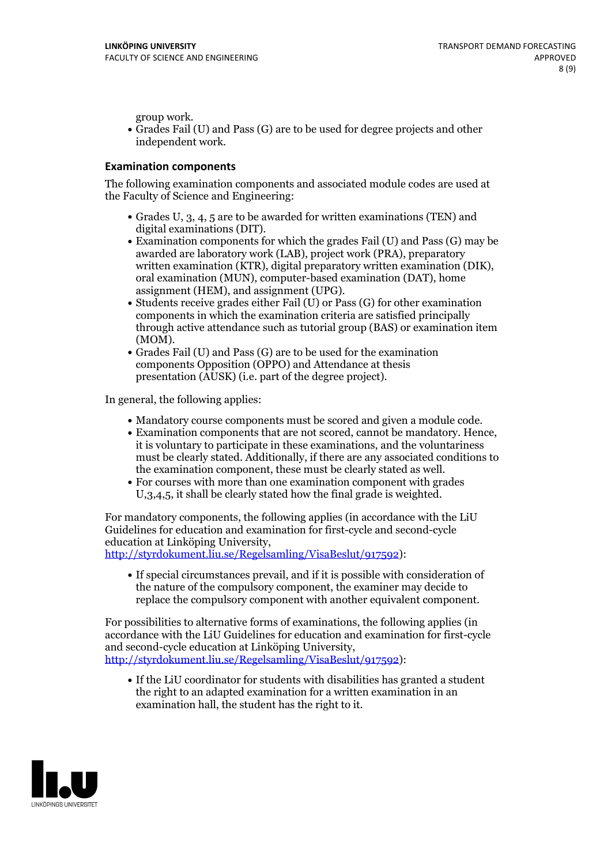group work.<br>• Grades Fail (U) and Pass (G) are to be used for degree projects and other independent work.

### **Examination components**

The following examination components and associated module codes are used at the Faculty of Science and Engineering:

- Grades U, 3, 4, 5 are to be awarded for written examinations (TEN) and
- digital examinations (DIT).<br>• Examination components for which the grades Fail (U) and Pass (G) may be awarded are laboratory work (LAB), project work (PRA), preparatory written examination (KTR), digital preparatory written examination (DIK), oral examination (MUN), computer-based examination (DAT), home
- assignment (HEM), and assignment (UPG).<br>• Students receive grades either Fail (U) or Pass (G) for other examination components in which the examination criteria are satisfied principally through active attendance such as tutorial group (BAS) or examination item
- (MOM).<br>• Grades Fail (U) and Pass (G) are to be used for the examination components Opposition (OPPO) and Attendance at thesis presentation (AUSK) (i.e. part of the degree project).

In general, the following applies:

- 
- Mandatory course components must be scored and given <sup>a</sup> module code. Examination components that are not scored, cannot be mandatory. Hence, it is voluntary to participate in these examinations, and the voluntariness must be clearly stated. Additionally, if there are any associated conditions to
- the examination component, these must be clearly stated as well.<br>• For courses with more than one examination component with grades U,3,4,5, it shall be clearly stated how the final grade is weighted.

For mandatory components, the following applies (in accordance with the LiU Guidelines for education and examination for first-cycle and second-cycle education at Linköping University,<br>[http://styrdokument.liu.se/Regelsamling/VisaBeslut/917592\)](http://styrdokument.liu.se/Regelsamling/VisaBeslut/917592):

If special circumstances prevail, and if it is possible with consideration of the nature of the compulsory component, the examiner may decide to replace the compulsory component with another equivalent component.

For possibilities to alternative forms of examinations, the following applies (in accordance with the LiU Guidelines for education and examination for first-cycle [http://styrdokument.liu.se/Regelsamling/VisaBeslut/917592\)](http://styrdokument.liu.se/Regelsamling/VisaBeslut/917592):

If the LiU coordinator for students with disabilities has granted a student the right to an adapted examination for a written examination in an examination hall, the student has the right to it.